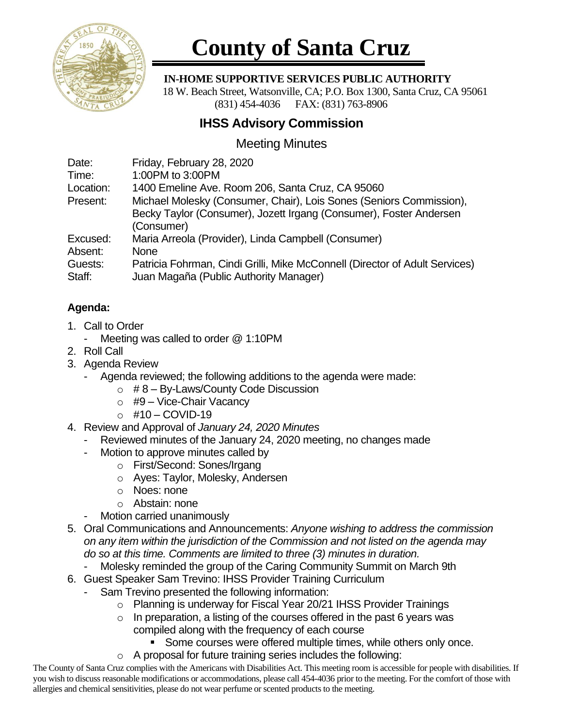

# **County of Santa Cruz**

#### **IN-HOME SUPPORTIVE SERVICES PUBLIC AUTHORITY**

 18 W. Beach Street, Watsonville, CA; P.O. Box 1300, Santa Cruz, CA 95061 (831) 454-4036 FAX: (831) 763-8906

# **IHSS Advisory Commission**

## Meeting Minutes

| Date:     | Friday, February 28, 2020                                                   |
|-----------|-----------------------------------------------------------------------------|
| Time:     | 1:00PM to 3:00PM                                                            |
| Location: | 1400 Emeline Ave. Room 206, Santa Cruz, CA 95060                            |
| Present:  | Michael Molesky (Consumer, Chair), Lois Sones (Seniors Commission),         |
|           | Becky Taylor (Consumer), Jozett Irgang (Consumer), Foster Andersen          |
|           | (Consumer)                                                                  |
| Excused:  | Maria Arreola (Provider), Linda Campbell (Consumer)                         |
| Absent:   | <b>None</b>                                                                 |
| Guests:   | Patricia Fohrman, Cindi Grilli, Mike McConnell (Director of Adult Services) |
| Staff:    | Juan Magaña (Public Authority Manager)                                      |

### **Agenda:**

- 1. Call to Order
	- Meeting was called to order @ 1:10PM
- 2. Roll Call
- 3. Agenda Review
	- Agenda reviewed; the following additions to the agenda were made:
		- $\circ$  #8 By-Laws/County Code Discussion
		- $\circ$  #9 Vice-Chair Vacancy
		- o #10 COVID-19
- 4. Review and Approval of *January 24, 2020 Minutes*
	- Reviewed minutes of the January 24, 2020 meeting, no changes made
	- Motion to approve minutes called by
		- o First/Second: Sones/Irgang
		- o Ayes: Taylor, Molesky, Andersen
		- o Noes: none
		- o Abstain: none
	- Motion carried unanimously
- 5. Oral Communications and Announcements: *Anyone wishing to address the commission on any item within the jurisdiction of the Commission and not listed on the agenda may do so at this time. Comments are limited to three (3) minutes in duration.*
	- Molesky reminded the group of the Caring Community Summit on March 9th
- 6. Guest Speaker Sam Trevino: IHSS Provider Training Curriculum
	- Sam Trevino presented the following information:
		- o Planning is underway for Fiscal Year 20/21 IHSS Provider Trainings
		- $\circ$  In preparation, a listing of the courses offered in the past 6 years was compiled along with the frequency of each course
			- Some courses were offered multiple times, while others only once.
		- o A proposal for future training series includes the following:

The County of Santa Cruz complies with the Americans with Disabilities Act. This meeting room is accessible for people with disabilities. If you wish to discuss reasonable modifications or accommodations, please call 454-4036 prior to the meeting. For the comfort of those with allergies and chemical sensitivities, please do not wear perfume or scented products to the meeting.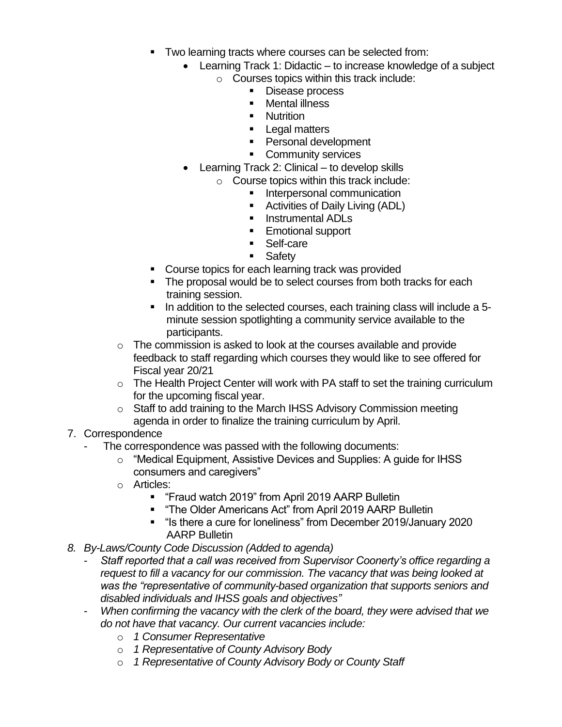- Two learning tracts where courses can be selected from:
	- Learning Track 1: Didactic to increase knowledge of a subject  $\circ$  Courses topics within this track include:
		- Disease process
		- Mental illness
		- **■** Nutrition
		- Legal matters
		- Personal development
		- Community services
	- Learning Track 2: Clinical to develop skills
		- o Course topics within this track include:
			- **■** Interpersonal communication
			- Activities of Daily Living (ADL)
			- Instrumental ADLs
			- Emotional support
			- Self-care
			- Safety
- Course topics for each learning track was provided
- The proposal would be to select courses from both tracks for each training session.
- In addition to the selected courses, each training class will include a 5 minute session spotlighting a community service available to the participants.
- o The commission is asked to look at the courses available and provide feedback to staff regarding which courses they would like to see offered for Fiscal year 20/21
- o The Health Project Center will work with PA staff to set the training curriculum for the upcoming fiscal year.
- o Staff to add training to the March IHSS Advisory Commission meeting agenda in order to finalize the training curriculum by April.
- 7. Correspondence
	- The correspondence was passed with the following documents:
		- o "Medical Equipment, Assistive Devices and Supplies: A guide for IHSS consumers and caregivers"
		- o Articles:
			- "Fraud watch 2019" from April 2019 AARP Bulletin
			- "The Older Americans Act" from April 2019 AARP Bulletin
			- "Is there a cure for loneliness" from December 2019/January 2020 AARP Bulletin
- *8. By-Laws/County Code Discussion (Added to agenda)*
	- *Staff reported that a call was received from Supervisor Coonerty's office regarding a request to fill a vacancy for our commission. The vacancy that was being looked at was the "representative of community-based organization that supports seniors and disabled individuals and IHSS goals and objectives"*
	- *When confirming the vacancy with the clerk of the board, they were advised that we do not have that vacancy. Our current vacancies include:*
		- o *1 Consumer Representative*
		- o *1 Representative of County Advisory Body*
		- o *1 Representative of County Advisory Body or County Staff*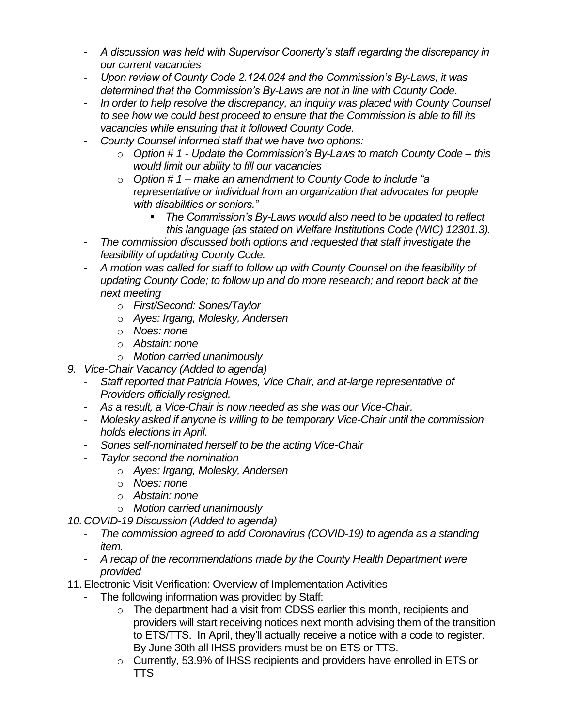- *A discussion was held with Supervisor Coonerty's staff regarding the discrepancy in our current vacancies*
- *Upon review of County Code 2.124.024 and the Commission's By-Laws, it was determined that the Commission's By-Laws are not in line with County Code.*
- *In order to help resolve the discrepancy, an inquiry was placed with County Counsel to see how we could best proceed to ensure that the Commission is able to fill its vacancies while ensuring that it followed County Code.*
- *County Counsel informed staff that we have two options:*
	- o *Option # 1 - Update the Commission's By-Laws to match County Code – this would limit our ability to fill our vacancies*
	- o *Option # 1 – make an amendment to County Code to include "a representative or individual from an organization that advocates for people with disabilities or seniors."*
		- *The Commission's By-Laws would also need to be updated to reflect this language (as stated on Welfare Institutions Code (WIC) 12301.3).*
- *The commission discussed both options and requested that staff investigate the feasibility of updating County Code.*
- *A motion was called for staff to follow up with County Counsel on the feasibility of updating County Code; to follow up and do more research; and report back at the next meeting*
	- o *First/Second: Sones/Taylor*
	- o *Ayes: Irgang, Molesky, Andersen*
	- o *Noes: none*
	- o *Abstain: none*
	- o *Motion carried unanimously*
- *9. Vice-Chair Vacancy (Added to agenda)*
	- *Staff reported that Patricia Howes, Vice Chair, and at-large representative of Providers officially resigned.*
	- *As a result, a Vice-Chair is now needed as she was our Vice-Chair.*
	- *Molesky asked if anyone is willing to be temporary Vice-Chair until the commission holds elections in April.*
	- *Sones self-nominated herself to be the acting Vice-Chair*
	- *Taylor second the nomination*
		- o *Ayes: Irgang, Molesky, Andersen*
		- o *Noes: none*
		- o *Abstain: none*
		- o *Motion carried unanimously*
- *10.COVID-19 Discussion (Added to agenda)*
	- *The commission agreed to add Coronavirus (COVID-19) to agenda as a standing item.*
	- *A recap of the recommendations made by the County Health Department were provided*
- 11.Electronic Visit Verification: Overview of Implementation Activities
	- The following information was provided by Staff:
		- o The department had a visit from CDSS earlier this month, recipients and providers will start receiving notices next month advising them of the transition to ETS/TTS. In April, they'll actually receive a notice with a code to register. By June 30th all IHSS providers must be on ETS or TTS.
		- o Currently, 53.9% of IHSS recipients and providers have enrolled in ETS or **TTS**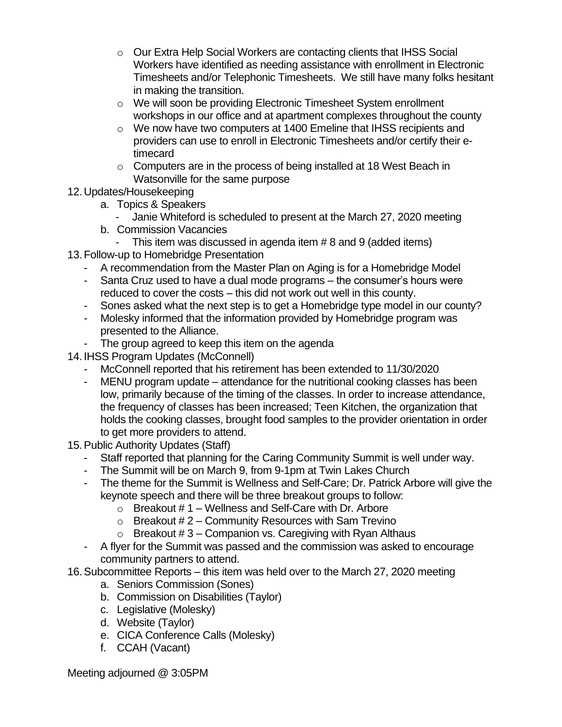- o Our Extra Help Social Workers are contacting clients that IHSS Social Workers have identified as needing assistance with enrollment in Electronic Timesheets and/or Telephonic Timesheets. We still have many folks hesitant in making the transition.
- o We will soon be providing Electronic Timesheet System enrollment workshops in our office and at apartment complexes throughout the county
- $\circ$  We now have two computers at 1400 Emeline that IHSS recipients and providers can use to enroll in Electronic Timesheets and/or certify their etimecard
- o Computers are in the process of being installed at 18 West Beach in Watsonville for the same purpose
- 12.Updates/Housekeeping
	- a. Topics & Speakers
		- Janie Whiteford is scheduled to present at the March 27, 2020 meeting
	- b. Commission Vacancies
		- This item was discussed in agenda item # 8 and 9 (added items)
- 13.Follow-up to Homebridge Presentation
	- A recommendation from the Master Plan on Aging is for a Homebridge Model
	- Santa Cruz used to have a dual mode programs the consumer's hours were reduced to cover the costs – this did not work out well in this county.
	- Sones asked what the next step is to get a Homebridge type model in our county?
	- Molesky informed that the information provided by Homebridge program was presented to the Alliance.
	- The group agreed to keep this item on the agenda
- 14. IHSS Program Updates (McConnell)
	- McConnell reported that his retirement has been extended to 11/30/2020
	- MENU program update attendance for the nutritional cooking classes has been low, primarily because of the timing of the classes. In order to increase attendance, the frequency of classes has been increased; Teen Kitchen, the organization that holds the cooking classes, brought food samples to the provider orientation in order to get more providers to attend.
- 15.Public Authority Updates (Staff)
	- Staff reported that planning for the Caring Community Summit is well under way.
	- The Summit will be on March 9, from 9-1pm at Twin Lakes Church
	- The theme for the Summit is Wellness and Self-Care; Dr. Patrick Arbore will give the keynote speech and there will be three breakout groups to follow:
		- $\circ$  Breakout #1 Wellness and Self-Care with Dr. Arbore
		- $\circ$  Breakout # 2 Community Resources with Sam Trevino
		- $\circ$  Breakout #3 Companion vs. Caregiving with Ryan Althaus
	- A flyer for the Summit was passed and the commission was asked to encourage community partners to attend.
- 16.Subcommittee Reports this item was held over to the March 27, 2020 meeting
	- a. Seniors Commission (Sones)
	- b. Commission on Disabilities (Taylor)
	- c. Legislative (Molesky)
	- d. Website (Taylor)
	- e. CICA Conference Calls (Molesky)
	- f. CCAH (Vacant)

Meeting adjourned @ 3:05PM